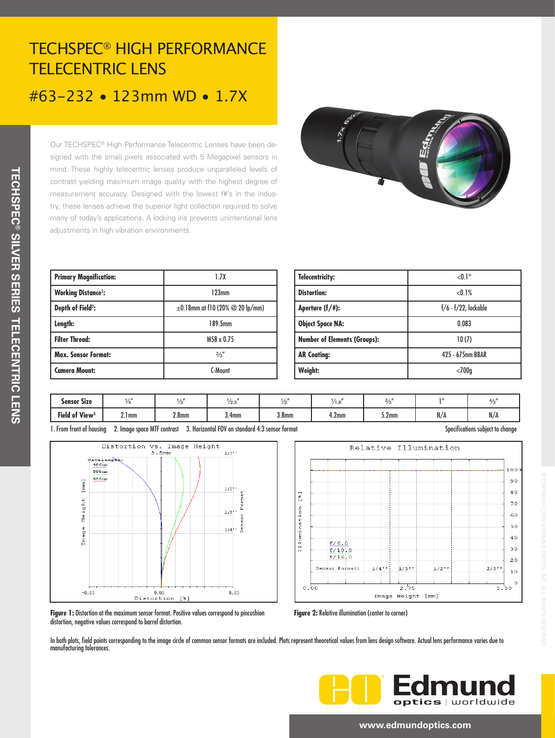# TECHSPEC® HIGH PERFORMANCE TELECENTRIC LENS #63-232 • 123mm WD • 1.7X

Our TECHSPEC® High Performance Telecentric Lenses have been designed with the small pixels associated with 5 Megapixel sensors in mind. These highly telecentric lenses produce unparalleled levels of contrast yielding maximum image quality with the highest degree of measurement accuracy. Designed with the lowest f#'s in the industry, these lenses achieve the superior light collection required to solve many of today's applications. A locking iris prevents unintentional lens adjustments in high vibration environments.

**TECHSPEC**

**® SILVER SERIES TELECENTRIC LENS**

**TECHSPEC® SILVER SERIES TELECENTRIC LENS** 

֦



| <b>Primary Magnification:</b> | 1.7X                                          |  |  |  |
|-------------------------------|-----------------------------------------------|--|--|--|
| <b>Working Distance':</b>     | 123mm                                         |  |  |  |
| Depth of Field <sup>2</sup> : | $\pm 0.18$ mm at f10 (20% $\oslash$ 20 lp/mm) |  |  |  |
| Length:                       | 189.5mm                                       |  |  |  |
| <b>Filter Thread:</b>         | M58 x 0.75                                    |  |  |  |
| <b>Max. Sensor Format:</b>    | 2/3''                                         |  |  |  |
| <b>Camera Mount:</b>          | C-Mount                                       |  |  |  |

| <b>Telecentricity:</b>              | $< 0.1$ °                 |  |  |  |
|-------------------------------------|---------------------------|--|--|--|
| <b>Distortion:</b>                  | < 0.1%                    |  |  |  |
| Aperture $(f/\#)$ :                 | $f/6$ - $f/22$ , lockable |  |  |  |
| <b>Object Space NA:</b>             | 0.083                     |  |  |  |
| <b>Number of Elements (Groups):</b> | 10(7)                     |  |  |  |
| <b>AR Coating:</b>                  | 425 - 675nm BBAR          |  |  |  |
| Weight:                             | $<$ 700 $q$               |  |  |  |

| <b>Sensor Size</b>         |              | $\rightarrow$ $\rightarrow$ $\rightarrow$ | $\frac{1}{2.5}$   |                   | .                 | 21                |     | $\lambda$ /          |
|----------------------------|--------------|-------------------------------------------|-------------------|-------------------|-------------------|-------------------|-----|----------------------|
| Field of View <sup>3</sup> | . .<br>2.Imm | 2.8 <sub>mm</sub>                         | 3.4 <sub>mm</sub> | 3.8 <sub>mm</sub> | 4.2 <sub>mm</sub> | 5.2 <sub>mm</sub> | N/A | $\mathbf{M}$<br>IV/H |

1. From front of housing 2. Image space MTF contrast 3. Horizontal FOV on standard 4:3 sensor format Specifications subject to change





**Figure 1:** Distortion at the maximum sensor format. Positive values correspond to pincushion distortion, negative values correspond to barrel distortion.

**Figure 2:** Relative illumination (center to corner)

In both plots, field points corresponding to the image circle of common sensor formats are included. Plots represent theoretical values from lens design software. Actual lens performance varies due to manufacturing tolerances.



#### **www.edmundoptics.com**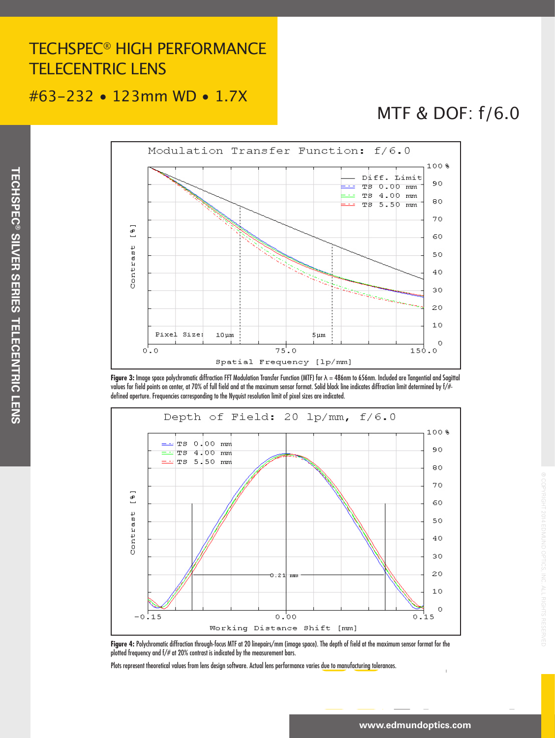### TECHSPEC® HIGH PERFORMANCE TELECENTRIC LENS

#### #63-232 • 123mm WD • 1.7X

## MTF & DOF: f/6.0



**Figure 3:** Image space polychromatic diffraction FFT Modulation Transfer Function (MTF) for λ = 486nm to 656nm. Included are Tangential and Sagittal values for field points on center, at 70% of full field and at the maximum sensor format. Solid black line indicates diffraction limit determined by f/# defined aperture. Frequencies corresponding to the Nyquist resolution limit of pixel sizes are indicated.



**Figure 4:** Polychromatic diffraction through-focus MTF at 20 linepairs/mm (image space). The depth of field at the maximum sensor format for the plotted frequency and f/# at 20% contrast is indicated by the measurement bars.

Plots represent theoretical values from lens design software. Actual lens performance varies due to manufacturing tolerances.

® COPYRIGHT 2014 EDMUND OPTICS, INC. ALL RIGHTS RESERVED